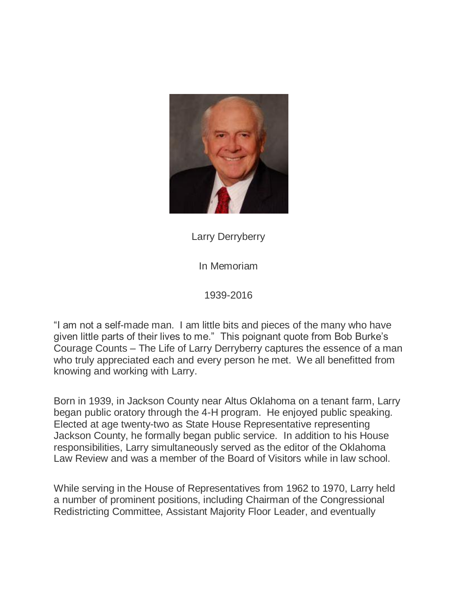

Larry Derryberry

In Memoriam

1939-2016

"I am not a self-made man. I am little bits and pieces of the many who have given little parts of their lives to me." This poignant quote from Bob Burke's Courage Counts – The Life of Larry Derryberry captures the essence of a man who truly appreciated each and every person he met. We all benefitted from knowing and working with Larry.

Born in 1939, in Jackson County near Altus Oklahoma on a tenant farm, Larry began public oratory through the 4-H program. He enjoyed public speaking. Elected at age twenty-two as State House Representative representing Jackson County, he formally began public service. In addition to his House responsibilities, Larry simultaneously served as the editor of the Oklahoma Law Review and was a member of the Board of Visitors while in law school.

While serving in the House of Representatives from 1962 to 1970, Larry held a number of prominent positions, including Chairman of the Congressional Redistricting Committee, Assistant Majority Floor Leader, and eventually